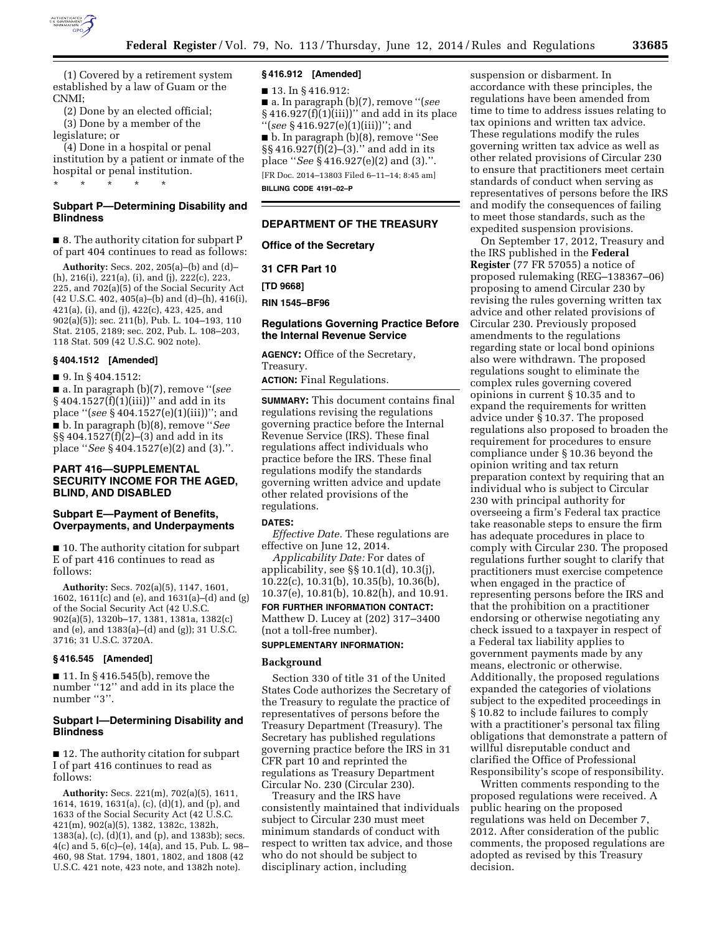

(1) Covered by a retirement system established by a law of Guam or the CNMI;

(2) Done by an elected official; (3) Done by a member of the legislature; or

(4) Done in a hospital or penal institution by a patient or inmate of the hospital or penal institution.

\* \* \* \* \*

# **Subpart P—Determining Disability and Blindness**

■ 8. The authority citation for subpart P of part 404 continues to read as follows:

**Authority:** Secs. 202, 205(a)–(b) and (d)– (h), 216(i), 221(a), (i), and (j), 222(c), 223, 225, and 702(a)(5) of the Social Security Act (42 U.S.C. 402, 405(a)–(b) and (d)–(h), 416(i), 421(a), (i), and (j), 422(c), 423, 425, and 902(a)(5)); sec. 211(b), Pub. L. 104–193, 110 Stat. 2105, 2189; sec. 202, Pub. L. 108–203, 118 Stat. 509 (42 U.S.C. 902 note).

#### **§ 404.1512 [Amended]**

■ 9. In § 404.1512:

■ a. In paragraph (b)(7), remove ''(*see*   $§ 404.1527(f)(1)(iii))"$  and add in its place ''(*see* § 404.1527(e)(1)(iii))''; and ■ b. In paragraph (b)(8), remove ''*See*  §§ 404.1527(f)(2)–(3) and add in its place ''*See* § 404.1527(e)(2) and (3).''.

# **PART 416—SUPPLEMENTAL SECURITY INCOME FOR THE AGED, BLIND, AND DISABLED**

# **Subpart E—Payment of Benefits, Overpayments, and Underpayments**

■ 10. The authority citation for subpart E of part 416 continues to read as follows:

**Authority:** Secs. 702(a)(5), 1147, 1601, 1602, 1611(c) and (e), and 1631(a)–(d) and (g) of the Social Security Act (42 U.S.C. 902(a)(5), 1320b–17, 1381, 1381a, 1382(c) and (e), and 1383(a)–(d) and (g)); 31 U.S.C. 3716; 31 U.S.C. 3720A.

## **§ 416.545 [Amended]**

■ 11. In § 416.545(b), remove the number ''12'' and add in its place the number "3".

## **Subpart I—Determining Disability and Blindness**

■ 12. The authority citation for subpart I of part 416 continues to read as follows:

**Authority:** Secs. 221(m), 702(a)(5), 1611, 1614, 1619, 1631(a), (c), (d)(1), and (p), and 1633 of the Social Security Act (42 U.S.C. 421(m), 902(a)(5), 1382, 1382c, 1382h, 1383(a), (c), (d)(1), and (p), and 1383b); secs. 4(c) and 5, 6(c)–(e), 14(a), and 15, Pub. L. 98– 460, 98 Stat. 1794, 1801, 1802, and 1808 (42 U.S.C. 421 note, 423 note, and 1382h note).

## **§ 416.912 [Amended]**

■ 13. In § 416.912:

■ a. In paragraph (b)(7), remove ''(*see*   $§416.927(f)(1)(iii)'$  and add in its place ''(*see* § 416.927(e)(1)(iii))''; and ■ b. In paragraph (b)(8), remove ''See §§ 416.927(f)(2)–(3).'' and add in its place ''*See* § 416.927(e)(2) and (3).''.

[FR Doc. 2014–13803 Filed 6–11–14; 8:45 am] **BILLING CODE 4191–02–P** 

#### **DEPARTMENT OF THE TREASURY**

**Office of the Secretary** 

**31 CFR Part 10** 

**[TD 9668]** 

**RIN 1545–BF96** 

#### **Regulations Governing Practice Before the Internal Revenue Service**

**AGENCY:** Office of the Secretary, Treasury.

**ACTION:** Final Regulations.

**SUMMARY:** This document contains final regulations revising the regulations governing practice before the Internal Revenue Service (IRS). These final regulations affect individuals who practice before the IRS. These final regulations modify the standards governing written advice and update other related provisions of the regulations.

## **DATES:**

*Effective Date.* These regulations are effective on June 12, 2014.

*Applicability Date:* For dates of applicability, see §§ 10.1(d), 10.3(j), 10.22(c), 10.31(b), 10.35(b), 10.36(b), 10.37(e), 10.81(b), 10.82(h), and 10.91. **FOR FURTHER INFORMATION CONTACT:**  Matthew D. Lucey at (202) 317–3400 (not a toll-free number).

#### **SUPPLEMENTARY INFORMATION:**

#### **Background**

Section 330 of title 31 of the United States Code authorizes the Secretary of the Treasury to regulate the practice of representatives of persons before the Treasury Department (Treasury). The Secretary has published regulations governing practice before the IRS in 31 CFR part 10 and reprinted the regulations as Treasury Department Circular No. 230 (Circular 230).

Treasury and the IRS have consistently maintained that individuals subject to Circular 230 must meet minimum standards of conduct with respect to written tax advice, and those who do not should be subject to disciplinary action, including

suspension or disbarment. In accordance with these principles, the regulations have been amended from time to time to address issues relating to tax opinions and written tax advice. These regulations modify the rules governing written tax advice as well as other related provisions of Circular 230 to ensure that practitioners meet certain standards of conduct when serving as representatives of persons before the IRS and modify the consequences of failing to meet those standards, such as the expedited suspension provisions.

On September 17, 2012, Treasury and the IRS published in the **Federal Register** (77 FR 57055) a notice of proposed rulemaking (REG–138367–06) proposing to amend Circular 230 by revising the rules governing written tax advice and other related provisions of Circular 230. Previously proposed amendments to the regulations regarding state or local bond opinions also were withdrawn. The proposed regulations sought to eliminate the complex rules governing covered opinions in current § 10.35 and to expand the requirements for written advice under § 10.37. The proposed regulations also proposed to broaden the requirement for procedures to ensure compliance under § 10.36 beyond the opinion writing and tax return preparation context by requiring that an individual who is subject to Circular 230 with principal authority for overseeing a firm's Federal tax practice take reasonable steps to ensure the firm has adequate procedures in place to comply with Circular 230. The proposed regulations further sought to clarify that practitioners must exercise competence when engaged in the practice of representing persons before the IRS and that the prohibition on a practitioner endorsing or otherwise negotiating any check issued to a taxpayer in respect of a Federal tax liability applies to government payments made by any means, electronic or otherwise. Additionally, the proposed regulations expanded the categories of violations subject to the expedited proceedings in § 10.82 to include failures to comply with a practitioner's personal tax filing obligations that demonstrate a pattern of willful disreputable conduct and clarified the Office of Professional Responsibility's scope of responsibility.

Written comments responding to the proposed regulations were received. A public hearing on the proposed regulations was held on December 7, 2012. After consideration of the public comments, the proposed regulations are adopted as revised by this Treasury decision.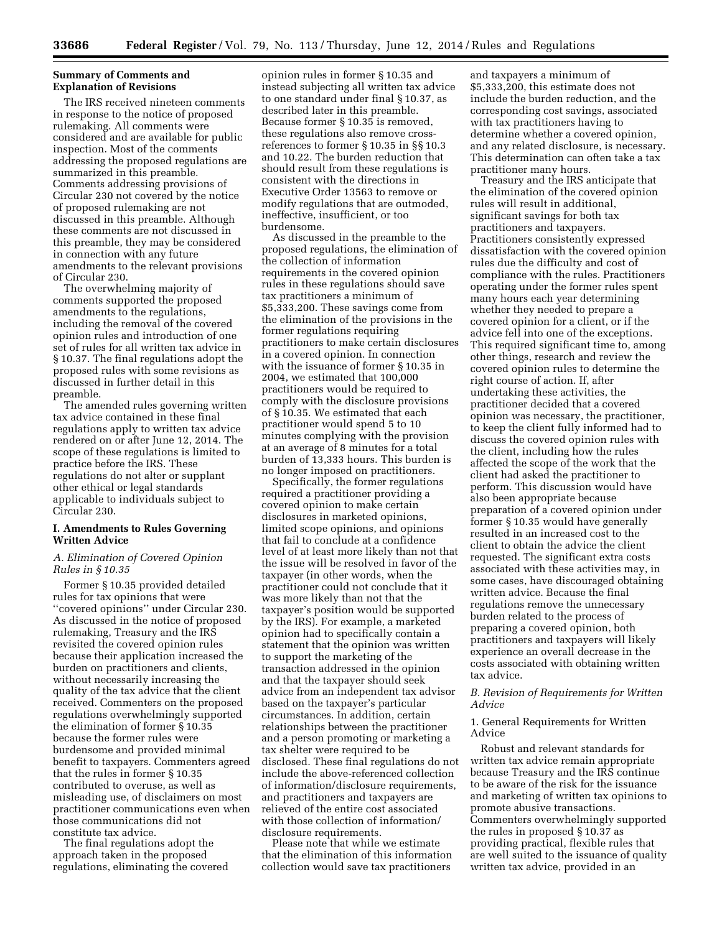## **Summary of Comments and Explanation of Revisions**

The IRS received nineteen comments in response to the notice of proposed rulemaking. All comments were considered and are available for public inspection. Most of the comments addressing the proposed regulations are summarized in this preamble. Comments addressing provisions of Circular 230 not covered by the notice of proposed rulemaking are not discussed in this preamble. Although these comments are not discussed in this preamble, they may be considered in connection with any future amendments to the relevant provisions of Circular 230.

The overwhelming majority of comments supported the proposed amendments to the regulations, including the removal of the covered opinion rules and introduction of one set of rules for all written tax advice in § 10.37. The final regulations adopt the proposed rules with some revisions as discussed in further detail in this preamble.

The amended rules governing written tax advice contained in these final regulations apply to written tax advice rendered on or after June 12, 2014. The scope of these regulations is limited to practice before the IRS. These regulations do not alter or supplant other ethical or legal standards applicable to individuals subject to Circular 230.

## **I. Amendments to Rules Governing Written Advice**

# *A. Elimination of Covered Opinion Rules in § 10.35*

Former § 10.35 provided detailed rules for tax opinions that were ''covered opinions'' under Circular 230. As discussed in the notice of proposed rulemaking, Treasury and the IRS revisited the covered opinion rules because their application increased the burden on practitioners and clients, without necessarily increasing the quality of the tax advice that the client received. Commenters on the proposed regulations overwhelmingly supported the elimination of former § 10.35 because the former rules were burdensome and provided minimal benefit to taxpayers. Commenters agreed that the rules in former § 10.35 contributed to overuse, as well as misleading use, of disclaimers on most practitioner communications even when those communications did not constitute tax advice.

The final regulations adopt the approach taken in the proposed regulations, eliminating the covered

opinion rules in former § 10.35 and instead subjecting all written tax advice to one standard under final § 10.37, as described later in this preamble. Because former § 10.35 is removed, these regulations also remove crossreferences to former § 10.35 in §§ 10.3 and 10.22. The burden reduction that should result from these regulations is consistent with the directions in Executive Order 13563 to remove or modify regulations that are outmoded, ineffective, insufficient, or too burdensome.

As discussed in the preamble to the proposed regulations, the elimination of the collection of information requirements in the covered opinion rules in these regulations should save tax practitioners a minimum of \$5,333,200. These savings come from the elimination of the provisions in the former regulations requiring practitioners to make certain disclosures in a covered opinion. In connection with the issuance of former § 10.35 in 2004, we estimated that 100,000 practitioners would be required to comply with the disclosure provisions of § 10.35. We estimated that each practitioner would spend 5 to 10 minutes complying with the provision at an average of 8 minutes for a total burden of 13,333 hours. This burden is no longer imposed on practitioners.

Specifically, the former regulations required a practitioner providing a covered opinion to make certain disclosures in marketed opinions, limited scope opinions, and opinions that fail to conclude at a confidence level of at least more likely than not that the issue will be resolved in favor of the taxpayer (in other words, when the practitioner could not conclude that it was more likely than not that the taxpayer's position would be supported by the IRS). For example, a marketed opinion had to specifically contain a statement that the opinion was written to support the marketing of the transaction addressed in the opinion and that the taxpayer should seek advice from an independent tax advisor based on the taxpayer's particular circumstances. In addition, certain relationships between the practitioner and a person promoting or marketing a tax shelter were required to be disclosed. These final regulations do not include the above-referenced collection of information/disclosure requirements, and practitioners and taxpayers are relieved of the entire cost associated with those collection of information/ disclosure requirements.

Please note that while we estimate that the elimination of this information collection would save tax practitioners

and taxpayers a minimum of \$5,333,200, this estimate does not include the burden reduction, and the corresponding cost savings, associated with tax practitioners having to determine whether a covered opinion, and any related disclosure, is necessary. This determination can often take a tax practitioner many hours.

Treasury and the IRS anticipate that the elimination of the covered opinion rules will result in additional, significant savings for both tax practitioners and taxpayers. Practitioners consistently expressed dissatisfaction with the covered opinion rules due the difficulty and cost of compliance with the rules. Practitioners operating under the former rules spent many hours each year determining whether they needed to prepare a covered opinion for a client, or if the advice fell into one of the exceptions. This required significant time to, among other things, research and review the covered opinion rules to determine the right course of action. If, after undertaking these activities, the practitioner decided that a covered opinion was necessary, the practitioner, to keep the client fully informed had to discuss the covered opinion rules with the client, including how the rules affected the scope of the work that the client had asked the practitioner to perform. This discussion would have also been appropriate because preparation of a covered opinion under former § 10.35 would have generally resulted in an increased cost to the client to obtain the advice the client requested. The significant extra costs associated with these activities may, in some cases, have discouraged obtaining written advice. Because the final regulations remove the unnecessary burden related to the process of preparing a covered opinion, both practitioners and taxpayers will likely experience an overall decrease in the costs associated with obtaining written tax advice.

## *B. Revision of Requirements for Written Advice*

1. General Requirements for Written Advice

Robust and relevant standards for written tax advice remain appropriate because Treasury and the IRS continue to be aware of the risk for the issuance and marketing of written tax opinions to promote abusive transactions. Commenters overwhelmingly supported the rules in proposed § 10.37 as providing practical, flexible rules that are well suited to the issuance of quality written tax advice, provided in an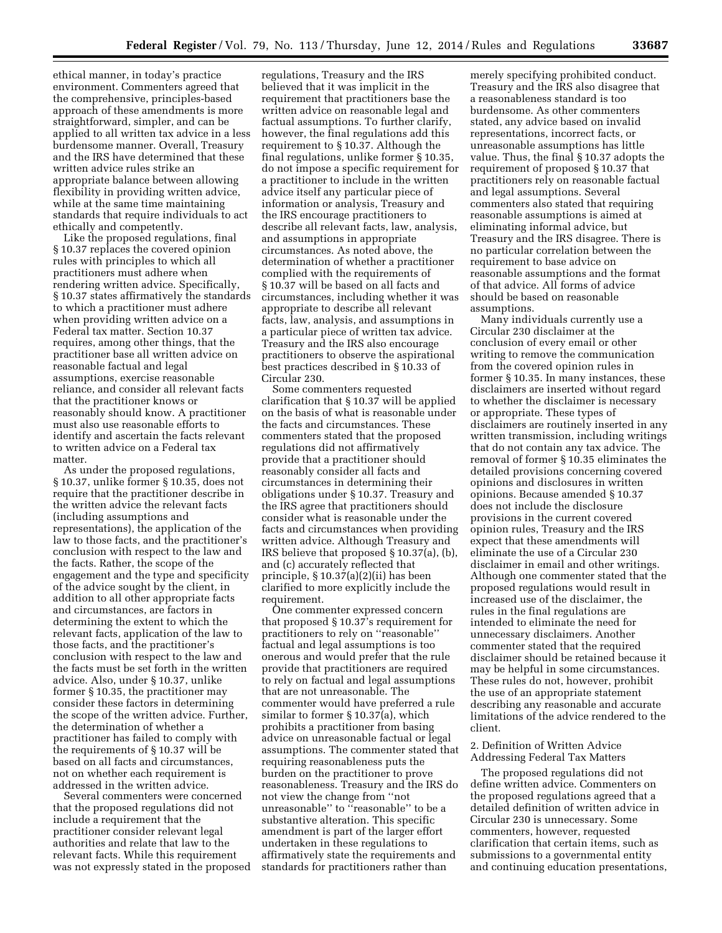ethical manner, in today's practice environment. Commenters agreed that the comprehensive, principles-based approach of these amendments is more straightforward, simpler, and can be applied to all written tax advice in a less burdensome manner. Overall, Treasury and the IRS have determined that these written advice rules strike an appropriate balance between allowing flexibility in providing written advice, while at the same time maintaining standards that require individuals to act ethically and competently.

Like the proposed regulations, final § 10.37 replaces the covered opinion rules with principles to which all practitioners must adhere when rendering written advice. Specifically, § 10.37 states affirmatively the standards to which a practitioner must adhere when providing written advice on a Federal tax matter. Section 10.37 requires, among other things, that the practitioner base all written advice on reasonable factual and legal assumptions, exercise reasonable reliance, and consider all relevant facts that the practitioner knows or reasonably should know. A practitioner must also use reasonable efforts to identify and ascertain the facts relevant to written advice on a Federal tax matter.

As under the proposed regulations, § 10.37, unlike former § 10.35, does not require that the practitioner describe in the written advice the relevant facts (including assumptions and representations), the application of the law to those facts, and the practitioner's conclusion with respect to the law and the facts. Rather, the scope of the engagement and the type and specificity of the advice sought by the client, in addition to all other appropriate facts and circumstances, are factors in determining the extent to which the relevant facts, application of the law to those facts, and the practitioner's conclusion with respect to the law and the facts must be set forth in the written advice. Also, under § 10.37, unlike former § 10.35, the practitioner may consider these factors in determining the scope of the written advice. Further, the determination of whether a practitioner has failed to comply with the requirements of § 10.37 will be based on all facts and circumstances, not on whether each requirement is addressed in the written advice.

Several commenters were concerned that the proposed regulations did not include a requirement that the practitioner consider relevant legal authorities and relate that law to the relevant facts. While this requirement was not expressly stated in the proposed

regulations, Treasury and the IRS believed that it was implicit in the requirement that practitioners base the written advice on reasonable legal and factual assumptions. To further clarify, however, the final regulations add this requirement to § 10.37. Although the final regulations, unlike former § 10.35, do not impose a specific requirement for a practitioner to include in the written advice itself any particular piece of information or analysis, Treasury and the IRS encourage practitioners to describe all relevant facts, law, analysis, and assumptions in appropriate circumstances. As noted above, the determination of whether a practitioner complied with the requirements of § 10.37 will be based on all facts and circumstances, including whether it was appropriate to describe all relevant facts, law, analysis, and assumptions in a particular piece of written tax advice. Treasury and the IRS also encourage practitioners to observe the aspirational best practices described in § 10.33 of Circular 230.

Some commenters requested clarification that § 10.37 will be applied on the basis of what is reasonable under the facts and circumstances. These commenters stated that the proposed regulations did not affirmatively provide that a practitioner should reasonably consider all facts and circumstances in determining their obligations under § 10.37. Treasury and the IRS agree that practitioners should consider what is reasonable under the facts and circumstances when providing written advice. Although Treasury and IRS believe that proposed § 10.37(a), (b), and (c) accurately reflected that principle, § 10.37(a)(2)(ii) has been clarified to more explicitly include the requirement.

One commenter expressed concern that proposed § 10.37's requirement for practitioners to rely on ''reasonable'' factual and legal assumptions is too onerous and would prefer that the rule provide that practitioners are required to rely on factual and legal assumptions that are not unreasonable. The commenter would have preferred a rule similar to former § 10.37(a), which prohibits a practitioner from basing advice on unreasonable factual or legal assumptions. The commenter stated that requiring reasonableness puts the burden on the practitioner to prove reasonableness. Treasury and the IRS do not view the change from ''not unreasonable" to "reasonable" to be a substantive alteration. This specific amendment is part of the larger effort undertaken in these regulations to affirmatively state the requirements and standards for practitioners rather than

merely specifying prohibited conduct. Treasury and the IRS also disagree that a reasonableness standard is too burdensome. As other commenters stated, any advice based on invalid representations, incorrect facts, or unreasonable assumptions has little value. Thus, the final § 10.37 adopts the requirement of proposed § 10.37 that practitioners rely on reasonable factual and legal assumptions. Several commenters also stated that requiring reasonable assumptions is aimed at eliminating informal advice, but Treasury and the IRS disagree. There is no particular correlation between the requirement to base advice on reasonable assumptions and the format of that advice. All forms of advice should be based on reasonable assumptions.

Many individuals currently use a Circular 230 disclaimer at the conclusion of every email or other writing to remove the communication from the covered opinion rules in former § 10.35. In many instances, these disclaimers are inserted without regard to whether the disclaimer is necessary or appropriate. These types of disclaimers are routinely inserted in any written transmission, including writings that do not contain any tax advice. The removal of former § 10.35 eliminates the detailed provisions concerning covered opinions and disclosures in written opinions. Because amended § 10.37 does not include the disclosure provisions in the current covered opinion rules, Treasury and the IRS expect that these amendments will eliminate the use of a Circular 230 disclaimer in email and other writings. Although one commenter stated that the proposed regulations would result in increased use of the disclaimer, the rules in the final regulations are intended to eliminate the need for unnecessary disclaimers. Another commenter stated that the required disclaimer should be retained because it may be helpful in some circumstances. These rules do not, however, prohibit the use of an appropriate statement describing any reasonable and accurate limitations of the advice rendered to the client.

## 2. Definition of Written Advice Addressing Federal Tax Matters

The proposed regulations did not define written advice. Commenters on the proposed regulations agreed that a detailed definition of written advice in Circular 230 is unnecessary. Some commenters, however, requested clarification that certain items, such as submissions to a governmental entity and continuing education presentations,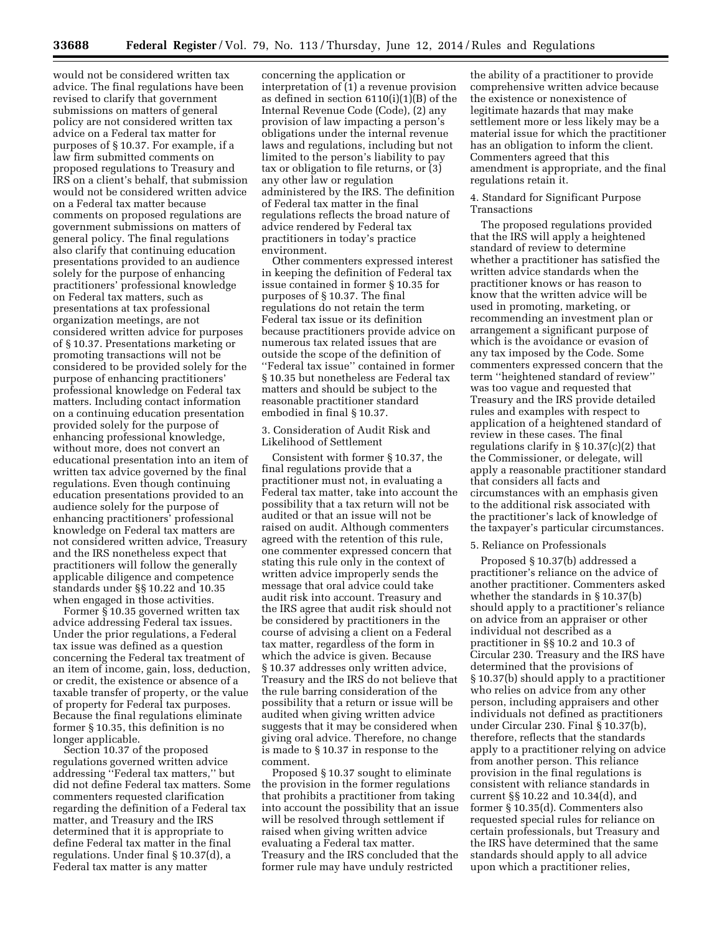would not be considered written tax advice. The final regulations have been revised to clarify that government submissions on matters of general policy are not considered written tax advice on a Federal tax matter for purposes of § 10.37. For example, if a law firm submitted comments on proposed regulations to Treasury and IRS on a client's behalf, that submission would not be considered written advice on a Federal tax matter because comments on proposed regulations are government submissions on matters of general policy. The final regulations also clarify that continuing education presentations provided to an audience solely for the purpose of enhancing practitioners' professional knowledge on Federal tax matters, such as presentations at tax professional organization meetings, are not considered written advice for purposes of § 10.37. Presentations marketing or promoting transactions will not be considered to be provided solely for the purpose of enhancing practitioners' professional knowledge on Federal tax matters. Including contact information on a continuing education presentation provided solely for the purpose of enhancing professional knowledge, without more, does not convert an educational presentation into an item of written tax advice governed by the final regulations. Even though continuing education presentations provided to an audience solely for the purpose of enhancing practitioners' professional knowledge on Federal tax matters are not considered written advice, Treasury and the IRS nonetheless expect that practitioners will follow the generally applicable diligence and competence standards under §§ 10.22 and 10.35 when engaged in those activities.

Former § 10.35 governed written tax advice addressing Federal tax issues. Under the prior regulations, a Federal tax issue was defined as a question concerning the Federal tax treatment of an item of income, gain, loss, deduction, or credit, the existence or absence of a taxable transfer of property, or the value of property for Federal tax purposes. Because the final regulations eliminate former § 10.35, this definition is no longer applicable.

Section 10.37 of the proposed regulations governed written advice addressing ''Federal tax matters,'' but did not define Federal tax matters. Some commenters requested clarification regarding the definition of a Federal tax matter, and Treasury and the IRS determined that it is appropriate to define Federal tax matter in the final regulations. Under final § 10.37(d), a Federal tax matter is any matter

concerning the application or interpretation of (1) a revenue provision as defined in section 6110(i)(1)(B) of the Internal Revenue Code (Code), (2) any provision of law impacting a person's obligations under the internal revenue laws and regulations, including but not limited to the person's liability to pay tax or obligation to file returns, or (3) any other law or regulation administered by the IRS. The definition of Federal tax matter in the final regulations reflects the broad nature of advice rendered by Federal tax practitioners in today's practice environment.

Other commenters expressed interest in keeping the definition of Federal tax issue contained in former § 10.35 for purposes of § 10.37. The final regulations do not retain the term Federal tax issue or its definition because practitioners provide advice on numerous tax related issues that are outside the scope of the definition of ''Federal tax issue'' contained in former § 10.35 but nonetheless are Federal tax matters and should be subject to the reasonable practitioner standard embodied in final § 10.37.

## 3. Consideration of Audit Risk and Likelihood of Settlement

Consistent with former § 10.37, the final regulations provide that a practitioner must not, in evaluating a Federal tax matter, take into account the possibility that a tax return will not be audited or that an issue will not be raised on audit. Although commenters agreed with the retention of this rule, one commenter expressed concern that stating this rule only in the context of written advice improperly sends the message that oral advice could take audit risk into account. Treasury and the IRS agree that audit risk should not be considered by practitioners in the course of advising a client on a Federal tax matter, regardless of the form in which the advice is given. Because § 10.37 addresses only written advice, Treasury and the IRS do not believe that the rule barring consideration of the possibility that a return or issue will be audited when giving written advice suggests that it may be considered when giving oral advice. Therefore, no change is made to § 10.37 in response to the comment.

Proposed § 10.37 sought to eliminate the provision in the former regulations that prohibits a practitioner from taking into account the possibility that an issue will be resolved through settlement if raised when giving written advice evaluating a Federal tax matter. Treasury and the IRS concluded that the former rule may have unduly restricted

the ability of a practitioner to provide comprehensive written advice because the existence or nonexistence of legitimate hazards that may make settlement more or less likely may be a material issue for which the practitioner has an obligation to inform the client. Commenters agreed that this amendment is appropriate, and the final regulations retain it.

#### 4. Standard for Significant Purpose Transactions

The proposed regulations provided that the IRS will apply a heightened standard of review to determine whether a practitioner has satisfied the written advice standards when the practitioner knows or has reason to know that the written advice will be used in promoting, marketing, or recommending an investment plan or arrangement a significant purpose of which is the avoidance or evasion of any tax imposed by the Code. Some commenters expressed concern that the term ''heightened standard of review'' was too vague and requested that Treasury and the IRS provide detailed rules and examples with respect to application of a heightened standard of review in these cases. The final regulations clarify in § 10.37(c)(2) that the Commissioner, or delegate, will apply a reasonable practitioner standard that considers all facts and circumstances with an emphasis given to the additional risk associated with the practitioner's lack of knowledge of the taxpayer's particular circumstances.

#### 5. Reliance on Professionals

Proposed § 10.37(b) addressed a practitioner's reliance on the advice of another practitioner. Commenters asked whether the standards in § 10.37(b) should apply to a practitioner's reliance on advice from an appraiser or other individual not described as a practitioner in §§ 10.2 and 10.3 of Circular 230. Treasury and the IRS have determined that the provisions of § 10.37(b) should apply to a practitioner who relies on advice from any other person, including appraisers and other individuals not defined as practitioners under Circular 230. Final § 10.37(b), therefore, reflects that the standards apply to a practitioner relying on advice from another person. This reliance provision in the final regulations is consistent with reliance standards in current §§ 10.22 and 10.34(d), and former § 10.35(d). Commenters also requested special rules for reliance on certain professionals, but Treasury and the IRS have determined that the same standards should apply to all advice upon which a practitioner relies,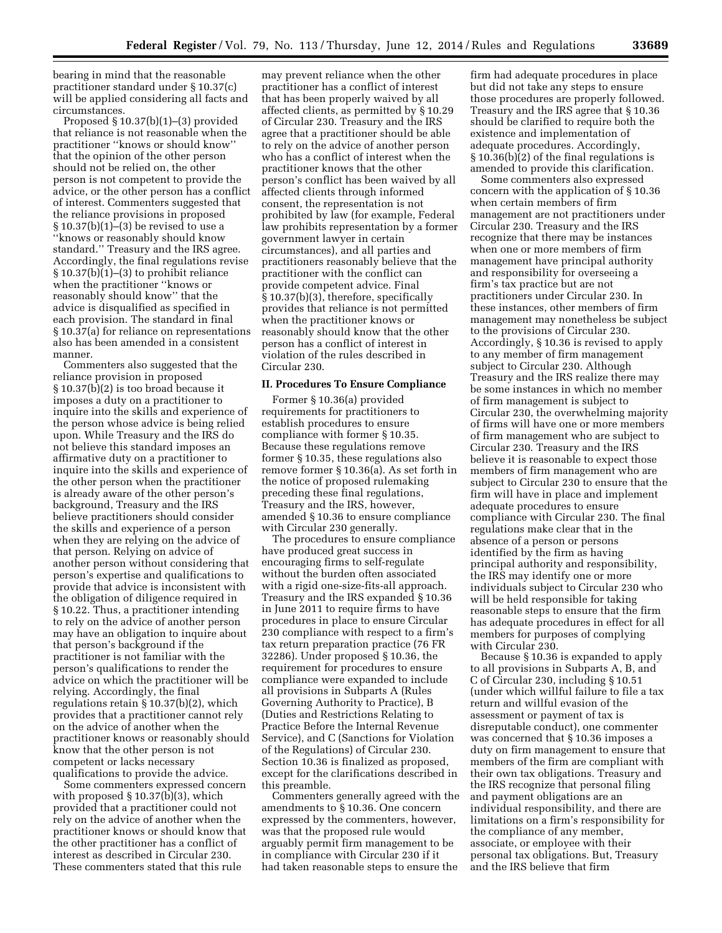bearing in mind that the reasonable practitioner standard under § 10.37(c) will be applied considering all facts and circumstances.

Proposed § 10.37(b)(1)–(3) provided that reliance is not reasonable when the practitioner ''knows or should know'' that the opinion of the other person should not be relied on, the other person is not competent to provide the advice, or the other person has a conflict of interest. Commenters suggested that the reliance provisions in proposed § 10.37(b)(1)–(3) be revised to use a ''knows or reasonably should know standard.'' Treasury and the IRS agree. Accordingly, the final regulations revise § 10.37(b)(1)–(3) to prohibit reliance when the practitioner ''knows or reasonably should know'' that the advice is disqualified as specified in each provision. The standard in final § 10.37(a) for reliance on representations also has been amended in a consistent manner.

Commenters also suggested that the reliance provision in proposed § 10.37(b)(2) is too broad because it imposes a duty on a practitioner to inquire into the skills and experience of the person whose advice is being relied upon. While Treasury and the IRS do not believe this standard imposes an affirmative duty on a practitioner to inquire into the skills and experience of the other person when the practitioner is already aware of the other person's background, Treasury and the IRS believe practitioners should consider the skills and experience of a person when they are relying on the advice of that person. Relying on advice of another person without considering that person's expertise and qualifications to provide that advice is inconsistent with the obligation of diligence required in § 10.22. Thus, a practitioner intending to rely on the advice of another person may have an obligation to inquire about that person's background if the practitioner is not familiar with the person's qualifications to render the advice on which the practitioner will be relying. Accordingly, the final regulations retain § 10.37(b)(2), which provides that a practitioner cannot rely on the advice of another when the practitioner knows or reasonably should know that the other person is not competent or lacks necessary qualifications to provide the advice.

Some commenters expressed concern with proposed § 10.37(b)(3), which provided that a practitioner could not rely on the advice of another when the practitioner knows or should know that the other practitioner has a conflict of interest as described in Circular 230. These commenters stated that this rule

may prevent reliance when the other practitioner has a conflict of interest that has been properly waived by all affected clients, as permitted by § 10.29 of Circular 230. Treasury and the IRS agree that a practitioner should be able to rely on the advice of another person who has a conflict of interest when the practitioner knows that the other person's conflict has been waived by all affected clients through informed consent, the representation is not prohibited by law (for example, Federal law prohibits representation by a former government lawyer in certain circumstances), and all parties and practitioners reasonably believe that the practitioner with the conflict can provide competent advice. Final § 10.37(b)(3), therefore, specifically provides that reliance is not permitted when the practitioner knows or reasonably should know that the other person has a conflict of interest in violation of the rules described in Circular 230.

#### **II. Procedures To Ensure Compliance**

Former § 10.36(a) provided requirements for practitioners to establish procedures to ensure compliance with former § 10.35. Because these regulations remove former § 10.35, these regulations also remove former § 10.36(a). As set forth in the notice of proposed rulemaking preceding these final regulations, Treasury and the IRS, however, amended § 10.36 to ensure compliance with Circular 230 generally.

The procedures to ensure compliance have produced great success in encouraging firms to self-regulate without the burden often associated with a rigid one-size-fits-all approach. Treasury and the IRS expanded § 10.36 in June 2011 to require firms to have procedures in place to ensure Circular 230 compliance with respect to a firm's tax return preparation practice (76 FR 32286). Under proposed § 10.36, the requirement for procedures to ensure compliance were expanded to include all provisions in Subparts A (Rules Governing Authority to Practice), B (Duties and Restrictions Relating to Practice Before the Internal Revenue Service), and C (Sanctions for Violation of the Regulations) of Circular 230. Section 10.36 is finalized as proposed, except for the clarifications described in this preamble.

Commenters generally agreed with the amendments to § 10.36. One concern expressed by the commenters, however, was that the proposed rule would arguably permit firm management to be in compliance with Circular 230 if it had taken reasonable steps to ensure the

firm had adequate procedures in place but did not take any steps to ensure those procedures are properly followed. Treasury and the IRS agree that § 10.36 should be clarified to require both the existence and implementation of adequate procedures. Accordingly, § 10.36(b)(2) of the final regulations is amended to provide this clarification.

Some commenters also expressed concern with the application of § 10.36 when certain members of firm management are not practitioners under Circular 230. Treasury and the IRS recognize that there may be instances when one or more members of firm management have principal authority and responsibility for overseeing a firm's tax practice but are not practitioners under Circular 230. In these instances, other members of firm management may nonetheless be subject to the provisions of Circular 230. Accordingly, § 10.36 is revised to apply to any member of firm management subject to Circular 230. Although Treasury and the IRS realize there may be some instances in which no member of firm management is subject to Circular 230, the overwhelming majority of firms will have one or more members of firm management who are subject to Circular 230. Treasury and the IRS believe it is reasonable to expect those members of firm management who are subject to Circular 230 to ensure that the firm will have in place and implement adequate procedures to ensure compliance with Circular 230. The final regulations make clear that in the absence of a person or persons identified by the firm as having principal authority and responsibility, the IRS may identify one or more individuals subject to Circular 230 who will be held responsible for taking reasonable steps to ensure that the firm has adequate procedures in effect for all members for purposes of complying with Circular 230.

Because § 10.36 is expanded to apply to all provisions in Subparts A, B, and C of Circular 230, including § 10.51 (under which willful failure to file a tax return and willful evasion of the assessment or payment of tax is disreputable conduct), one commenter was concerned that § 10.36 imposes a duty on firm management to ensure that members of the firm are compliant with their own tax obligations. Treasury and the IRS recognize that personal filing and payment obligations are an individual responsibility, and there are limitations on a firm's responsibility for the compliance of any member, associate, or employee with their personal tax obligations. But, Treasury and the IRS believe that firm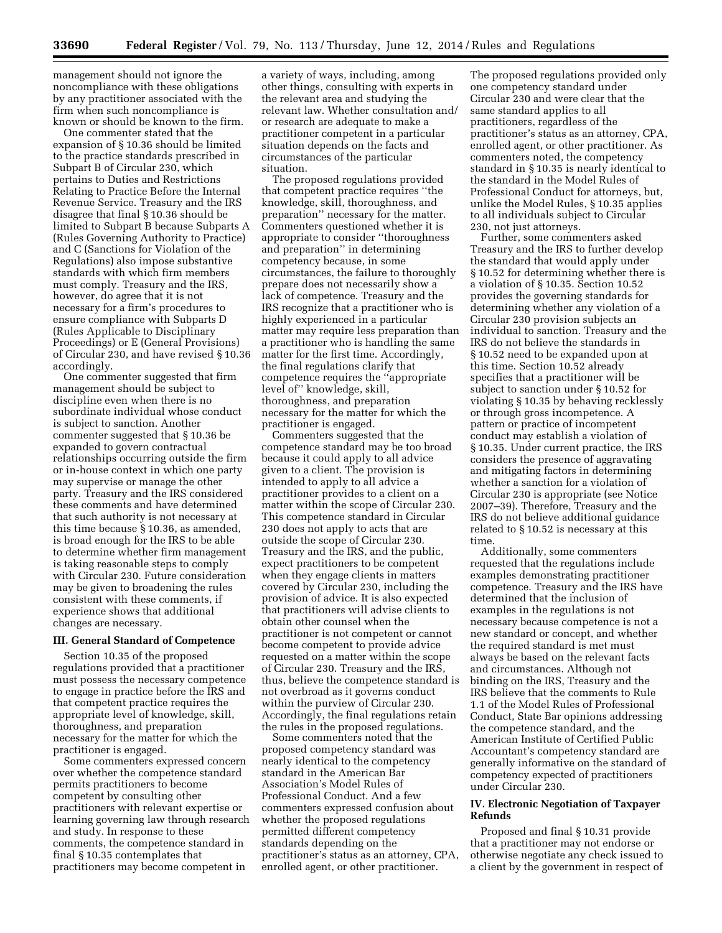management should not ignore the noncompliance with these obligations by any practitioner associated with the firm when such noncompliance is known or should be known to the firm.

One commenter stated that the expansion of § 10.36 should be limited to the practice standards prescribed in Subpart B of Circular 230, which pertains to Duties and Restrictions Relating to Practice Before the Internal Revenue Service. Treasury and the IRS disagree that final § 10.36 should be limited to Subpart B because Subparts A (Rules Governing Authority to Practice) and C (Sanctions for Violation of the Regulations) also impose substantive standards with which firm members must comply. Treasury and the IRS, however, do agree that it is not necessary for a firm's procedures to ensure compliance with Subparts D (Rules Applicable to Disciplinary Proceedings) or E (General Provisions) of Circular 230, and have revised § 10.36 accordingly.

One commenter suggested that firm management should be subject to discipline even when there is no subordinate individual whose conduct is subject to sanction. Another commenter suggested that § 10.36 be expanded to govern contractual relationships occurring outside the firm or in-house context in which one party may supervise or manage the other party. Treasury and the IRS considered these comments and have determined that such authority is not necessary at this time because § 10.36, as amended, is broad enough for the IRS to be able to determine whether firm management is taking reasonable steps to comply with Circular 230. Future consideration may be given to broadening the rules consistent with these comments, if experience shows that additional changes are necessary.

## **III. General Standard of Competence**

Section 10.35 of the proposed regulations provided that a practitioner must possess the necessary competence to engage in practice before the IRS and that competent practice requires the appropriate level of knowledge, skill, thoroughness, and preparation necessary for the matter for which the practitioner is engaged.

Some commenters expressed concern over whether the competence standard permits practitioners to become competent by consulting other practitioners with relevant expertise or learning governing law through research and study. In response to these comments, the competence standard in final § 10.35 contemplates that practitioners may become competent in

a variety of ways, including, among other things, consulting with experts in the relevant area and studying the relevant law. Whether consultation and/ or research are adequate to make a practitioner competent in a particular situation depends on the facts and circumstances of the particular situation.

The proposed regulations provided that competent practice requires ''the knowledge, skill, thoroughness, and preparation'' necessary for the matter. Commenters questioned whether it is appropriate to consider ''thoroughness and preparation'' in determining competency because, in some circumstances, the failure to thoroughly prepare does not necessarily show a lack of competence. Treasury and the IRS recognize that a practitioner who is highly experienced in a particular matter may require less preparation than a practitioner who is handling the same matter for the first time. Accordingly, the final regulations clarify that competence requires the ''appropriate level of'' knowledge, skill, thoroughness, and preparation necessary for the matter for which the practitioner is engaged.

Commenters suggested that the competence standard may be too broad because it could apply to all advice given to a client. The provision is intended to apply to all advice a practitioner provides to a client on a matter within the scope of Circular 230. This competence standard in Circular 230 does not apply to acts that are outside the scope of Circular 230. Treasury and the IRS, and the public, expect practitioners to be competent when they engage clients in matters covered by Circular 230, including the provision of advice. It is also expected that practitioners will advise clients to obtain other counsel when the practitioner is not competent or cannot become competent to provide advice requested on a matter within the scope of Circular 230. Treasury and the IRS, thus, believe the competence standard is not overbroad as it governs conduct within the purview of Circular 230. Accordingly, the final regulations retain the rules in the proposed regulations.

Some commenters noted that the proposed competency standard was nearly identical to the competency standard in the American Bar Association's Model Rules of Professional Conduct. And a few commenters expressed confusion about whether the proposed regulations permitted different competency standards depending on the practitioner's status as an attorney, CPA, enrolled agent, or other practitioner.

The proposed regulations provided only one competency standard under Circular 230 and were clear that the same standard applies to all practitioners, regardless of the practitioner's status as an attorney, CPA, enrolled agent, or other practitioner. As commenters noted, the competency standard in § 10.35 is nearly identical to the standard in the Model Rules of Professional Conduct for attorneys, but, unlike the Model Rules, § 10.35 applies to all individuals subject to Circular 230, not just attorneys.

Further, some commenters asked Treasury and the IRS to further develop the standard that would apply under § 10.52 for determining whether there is a violation of § 10.35. Section 10.52 provides the governing standards for determining whether any violation of a Circular 230 provision subjects an individual to sanction. Treasury and the IRS do not believe the standards in § 10.52 need to be expanded upon at this time. Section 10.52 already specifies that a practitioner will be subject to sanction under § 10.52 for violating § 10.35 by behaving recklessly or through gross incompetence. A pattern or practice of incompetent conduct may establish a violation of § 10.35. Under current practice, the IRS considers the presence of aggravating and mitigating factors in determining whether a sanction for a violation of Circular 230 is appropriate (see Notice 2007–39). Therefore, Treasury and the IRS do not believe additional guidance related to § 10.52 is necessary at this time.

Additionally, some commenters requested that the regulations include examples demonstrating practitioner competence. Treasury and the IRS have determined that the inclusion of examples in the regulations is not necessary because competence is not a new standard or concept, and whether the required standard is met must always be based on the relevant facts and circumstances. Although not binding on the IRS, Treasury and the IRS believe that the comments to Rule 1.1 of the Model Rules of Professional Conduct, State Bar opinions addressing the competence standard, and the American Institute of Certified Public Accountant's competency standard are generally informative on the standard of competency expected of practitioners under Circular 230.

# **IV. Electronic Negotiation of Taxpayer Refunds**

Proposed and final § 10.31 provide that a practitioner may not endorse or otherwise negotiate any check issued to a client by the government in respect of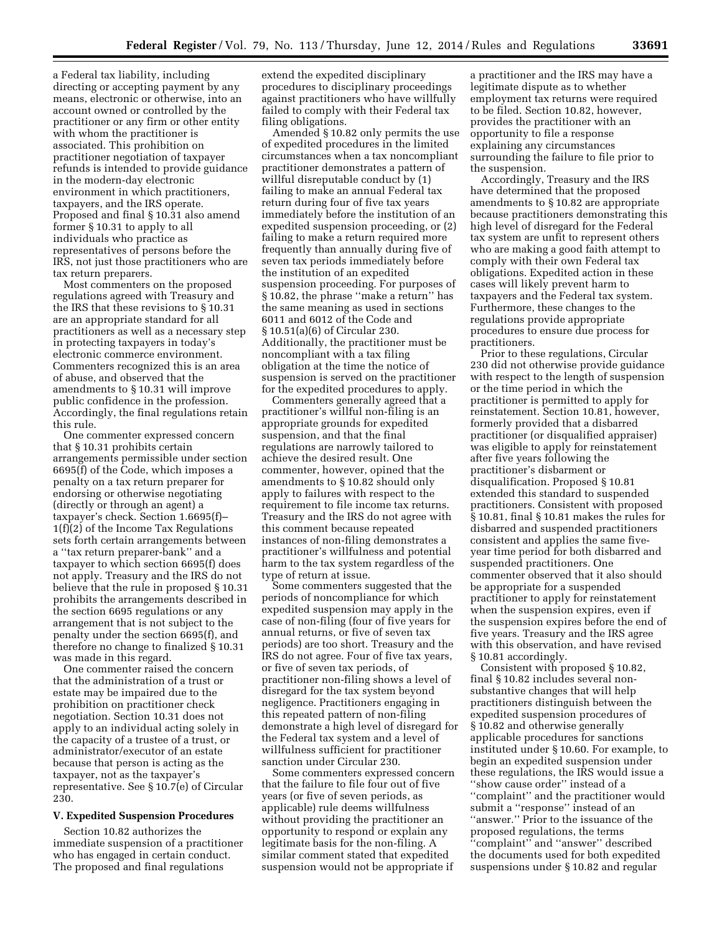a Federal tax liability, including directing or accepting payment by any means, electronic or otherwise, into an account owned or controlled by the practitioner or any firm or other entity with whom the practitioner is associated. This prohibition on practitioner negotiation of taxpayer refunds is intended to provide guidance in the modern-day electronic environment in which practitioners, taxpayers, and the IRS operate. Proposed and final § 10.31 also amend former § 10.31 to apply to all individuals who practice as representatives of persons before the IRS, not just those practitioners who are tax return preparers.

Most commenters on the proposed regulations agreed with Treasury and the IRS that these revisions to § 10.31 are an appropriate standard for all practitioners as well as a necessary step in protecting taxpayers in today's electronic commerce environment. Commenters recognized this is an area of abuse, and observed that the amendments to § 10.31 will improve public confidence in the profession. Accordingly, the final regulations retain this rule.

One commenter expressed concern that § 10.31 prohibits certain arrangements permissible under section  $6695(f)$  of the Code, which imposes a penalty on a tax return preparer for endorsing or otherwise negotiating (directly or through an agent) a taxpayer's check. Section 1.6695(f)– 1(f)(2) of the Income Tax Regulations sets forth certain arrangements between a ''tax return preparer-bank'' and a taxpayer to which section 6695(f) does not apply. Treasury and the IRS do not believe that the rule in proposed § 10.31 prohibits the arrangements described in the section 6695 regulations or any arrangement that is not subject to the penalty under the section 6695(f), and therefore no change to finalized § 10.31 was made in this regard.

One commenter raised the concern that the administration of a trust or estate may be impaired due to the prohibition on practitioner check negotiation. Section 10.31 does not apply to an individual acting solely in the capacity of a trustee of a trust, or administrator/executor of an estate because that person is acting as the taxpayer, not as the taxpayer's representative. See § 10.7(e) of Circular 230.

#### **V. Expedited Suspension Procedures**

Section 10.82 authorizes the immediate suspension of a practitioner who has engaged in certain conduct. The proposed and final regulations

extend the expedited disciplinary procedures to disciplinary proceedings against practitioners who have willfully failed to comply with their Federal tax filing obligations.

Amended § 10.82 only permits the use of expedited procedures in the limited circumstances when a tax noncompliant practitioner demonstrates a pattern of willful disreputable conduct by (1) failing to make an annual Federal tax return during four of five tax years immediately before the institution of an expedited suspension proceeding, or (2) failing to make a return required more frequently than annually during five of seven tax periods immediately before the institution of an expedited suspension proceeding. For purposes of § 10.82, the phrase ''make a return'' has the same meaning as used in sections 6011 and 6012 of the Code and § 10.51(a)(6) of Circular 230. Additionally, the practitioner must be noncompliant with a tax filing obligation at the time the notice of suspension is served on the practitioner for the expedited procedures to apply.

Commenters generally agreed that a practitioner's willful non-filing is an appropriate grounds for expedited suspension, and that the final regulations are narrowly tailored to achieve the desired result. One commenter, however, opined that the amendments to § 10.82 should only apply to failures with respect to the requirement to file income tax returns. Treasury and the IRS do not agree with this comment because repeated instances of non-filing demonstrates a practitioner's willfulness and potential harm to the tax system regardless of the type of return at issue.

Some commenters suggested that the periods of noncompliance for which expedited suspension may apply in the case of non-filing (four of five years for annual returns, or five of seven tax periods) are too short. Treasury and the IRS do not agree. Four of five tax years, or five of seven tax periods, of practitioner non-filing shows a level of disregard for the tax system beyond negligence. Practitioners engaging in this repeated pattern of non-filing demonstrate a high level of disregard for the Federal tax system and a level of willfulness sufficient for practitioner sanction under Circular 230.

Some commenters expressed concern that the failure to file four out of five years (or five of seven periods, as applicable) rule deems willfulness without providing the practitioner an opportunity to respond or explain any legitimate basis for the non-filing. A similar comment stated that expedited suspension would not be appropriate if

a practitioner and the IRS may have a legitimate dispute as to whether employment tax returns were required to be filed. Section 10.82, however, provides the practitioner with an opportunity to file a response explaining any circumstances surrounding the failure to file prior to the suspension.

Accordingly, Treasury and the IRS have determined that the proposed amendments to § 10.82 are appropriate because practitioners demonstrating this high level of disregard for the Federal tax system are unfit to represent others who are making a good faith attempt to comply with their own Federal tax obligations. Expedited action in these cases will likely prevent harm to taxpayers and the Federal tax system. Furthermore, these changes to the regulations provide appropriate procedures to ensure due process for practitioners.

Prior to these regulations, Circular 230 did not otherwise provide guidance with respect to the length of suspension or the time period in which the practitioner is permitted to apply for reinstatement. Section 10.81, however, formerly provided that a disbarred practitioner (or disqualified appraiser) was eligible to apply for reinstatement after five years following the practitioner's disbarment or disqualification. Proposed § 10.81 extended this standard to suspended practitioners. Consistent with proposed § 10.81, final § 10.81 makes the rules for disbarred and suspended practitioners consistent and applies the same fiveyear time period for both disbarred and suspended practitioners. One commenter observed that it also should be appropriate for a suspended practitioner to apply for reinstatement when the suspension expires, even if the suspension expires before the end of five years. Treasury and the IRS agree with this observation, and have revised § 10.81 accordingly.

Consistent with proposed § 10.82, final § 10.82 includes several nonsubstantive changes that will help practitioners distinguish between the expedited suspension procedures of § 10.82 and otherwise generally applicable procedures for sanctions instituted under § 10.60. For example, to begin an expedited suspension under these regulations, the IRS would issue a ''show cause order'' instead of a ''complaint'' and the practitioner would submit a ''response'' instead of an ''answer.'' Prior to the issuance of the proposed regulations, the terms "complaint" and "answer" described the documents used for both expedited suspensions under § 10.82 and regular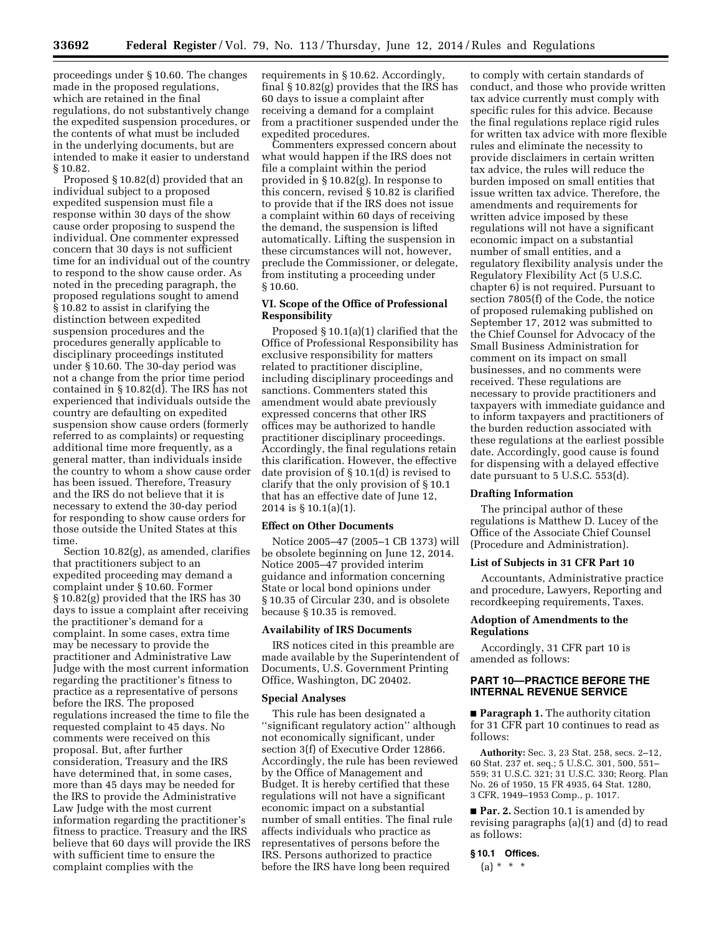proceedings under § 10.60. The changes made in the proposed regulations, which are retained in the final regulations, do not substantively change the expedited suspension procedures, or the contents of what must be included in the underlying documents, but are intended to make it easier to understand § 10.82.

Proposed § 10.82(d) provided that an individual subject to a proposed expedited suspension must file a response within 30 days of the show cause order proposing to suspend the individual. One commenter expressed concern that 30 days is not sufficient time for an individual out of the country to respond to the show cause order. As noted in the preceding paragraph, the proposed regulations sought to amend § 10.82 to assist in clarifying the distinction between expedited suspension procedures and the procedures generally applicable to disciplinary proceedings instituted under § 10.60. The 30-day period was not a change from the prior time period contained in § 10.82(d). The IRS has not experienced that individuals outside the country are defaulting on expedited suspension show cause orders (formerly referred to as complaints) or requesting additional time more frequently, as a general matter, than individuals inside the country to whom a show cause order has been issued. Therefore, Treasury and the IRS do not believe that it is necessary to extend the 30-day period for responding to show cause orders for those outside the United States at this time.

Section 10.82(g), as amended, clarifies that practitioners subject to an expedited proceeding may demand a complaint under § 10.60. Former § 10.82(g) provided that the IRS has 30 days to issue a complaint after receiving the practitioner's demand for a complaint. In some cases, extra time may be necessary to provide the practitioner and Administrative Law Judge with the most current information regarding the practitioner's fitness to practice as a representative of persons before the IRS. The proposed regulations increased the time to file the requested complaint to 45 days. No comments were received on this proposal. But, after further consideration, Treasury and the IRS have determined that, in some cases, more than 45 days may be needed for the IRS to provide the Administrative Law Judge with the most current information regarding the practitioner's fitness to practice. Treasury and the IRS believe that 60 days will provide the IRS with sufficient time to ensure the complaint complies with the

requirements in § 10.62. Accordingly, final § 10.82(g) provides that the IRS has 60 days to issue a complaint after receiving a demand for a complaint from a practitioner suspended under the expedited procedures.

Commenters expressed concern about what would happen if the IRS does not file a complaint within the period provided in § 10.82(g). In response to this concern, revised § 10.82 is clarified to provide that if the IRS does not issue a complaint within 60 days of receiving the demand, the suspension is lifted automatically. Lifting the suspension in these circumstances will not, however, preclude the Commissioner, or delegate, from instituting a proceeding under § 10.60.

## **VI. Scope of the Office of Professional Responsibility**

Proposed § 10.1(a)(1) clarified that the Office of Professional Responsibility has exclusive responsibility for matters related to practitioner discipline, including disciplinary proceedings and sanctions. Commenters stated this amendment would abate previously expressed concerns that other IRS offices may be authorized to handle practitioner disciplinary proceedings. Accordingly, the final regulations retain this clarification. However, the effective date provision of § 10.1(d) is revised to clarify that the only provision of § 10.1 that has an effective date of June 12, 2014 is § 10.1(a)(1).

#### **Effect on Other Documents**

Notice 2005–47 (2005–1 CB 1373) will be obsolete beginning on June 12, 2014. Notice 2005–47 provided interim guidance and information concerning State or local bond opinions under § 10.35 of Circular 230, and is obsolete because § 10.35 is removed.

#### **Availability of IRS Documents**

IRS notices cited in this preamble are made available by the Superintendent of Documents, U.S. Government Printing Office, Washington, DC 20402.

#### **Special Analyses**

This rule has been designated a ''significant regulatory action'' although not economically significant, under section 3(f) of Executive Order 12866. Accordingly, the rule has been reviewed by the Office of Management and Budget. It is hereby certified that these regulations will not have a significant economic impact on a substantial number of small entities. The final rule affects individuals who practice as representatives of persons before the IRS. Persons authorized to practice before the IRS have long been required

to comply with certain standards of conduct, and those who provide written tax advice currently must comply with specific rules for this advice. Because the final regulations replace rigid rules for written tax advice with more flexible rules and eliminate the necessity to provide disclaimers in certain written tax advice, the rules will reduce the burden imposed on small entities that issue written tax advice. Therefore, the amendments and requirements for written advice imposed by these regulations will not have a significant economic impact on a substantial number of small entities, and a regulatory flexibility analysis under the Regulatory Flexibility Act (5 U.S.C. chapter 6) is not required. Pursuant to section 7805(f) of the Code, the notice of proposed rulemaking published on September 17, 2012 was submitted to the Chief Counsel for Advocacy of the Small Business Administration for comment on its impact on small businesses, and no comments were received. These regulations are necessary to provide practitioners and taxpayers with immediate guidance and to inform taxpayers and practitioners of the burden reduction associated with these regulations at the earliest possible date. Accordingly, good cause is found for dispensing with a delayed effective date pursuant to 5 U.S.C. 553(d).

## **Drafting Information**

The principal author of these regulations is Matthew D. Lucey of the Office of the Associate Chief Counsel (Procedure and Administration).

## **List of Subjects in 31 CFR Part 10**

Accountants, Administrative practice and procedure, Lawyers, Reporting and recordkeeping requirements, Taxes.

## **Adoption of Amendments to the Regulations**

Accordingly, 31 CFR part 10 is amended as follows:

## **PART 10—PRACTICE BEFORE THE INTERNAL REVENUE SERVICE**

■ **Paragraph 1.** The authority citation for 31 CFR part 10 continues to read as follows:

**Authority:** Sec. 3, 23 Stat. 258, secs. 2–12, 60 Stat. 237 et. seq.; 5 U.S.C. 301, 500, 551– 559; 31 U.S.C. 321; 31 U.S.C. 330; Reorg. Plan No. 26 of 1950, 15 FR 4935, 64 Stat. 1280, 3 CFR, 1949–1953 Comp., p. 1017.

■ **Par. 2.** Section 10.1 is amended by revising paragraphs (a)(1) and (d) to read as follows:

#### **§ 10.1 Offices.**

 $(a) * * * *$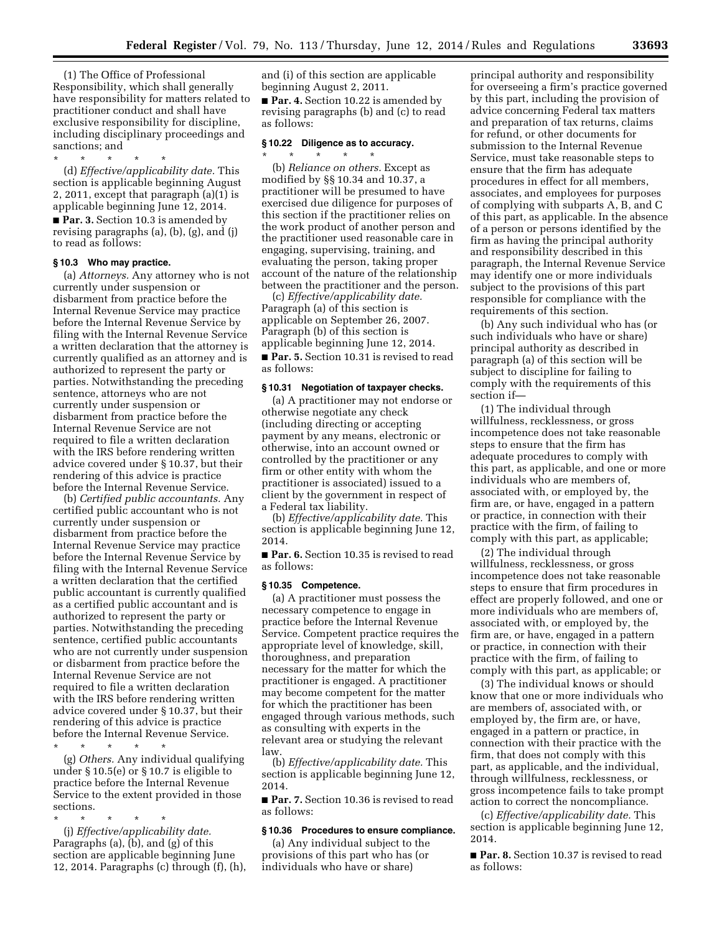(1) The Office of Professional Responsibility, which shall generally have responsibility for matters related to practitioner conduct and shall have exclusive responsibility for discipline, including disciplinary proceedings and sanctions; and

\* \* \* \* \* (d) *Effective/applicability date.* This section is applicable beginning August 2, 2011, except that paragraph (a)(1) is applicable beginning June 12, 2014. ■ **Par. 3.** Section 10.3 is amended by revising paragraphs (a), (b), (g), and (j) to read as follows:

#### **§ 10.3 Who may practice.**

(a) *Attorneys.* Any attorney who is not currently under suspension or disbarment from practice before the Internal Revenue Service may practice before the Internal Revenue Service by filing with the Internal Revenue Service a written declaration that the attorney is currently qualified as an attorney and is authorized to represent the party or parties. Notwithstanding the preceding sentence, attorneys who are not currently under suspension or disbarment from practice before the Internal Revenue Service are not required to file a written declaration with the IRS before rendering written advice covered under § 10.37, but their rendering of this advice is practice before the Internal Revenue Service.

(b) *Certified public accountants.* Any certified public accountant who is not currently under suspension or disbarment from practice before the Internal Revenue Service may practice before the Internal Revenue Service by filing with the Internal Revenue Service a written declaration that the certified public accountant is currently qualified as a certified public accountant and is authorized to represent the party or parties. Notwithstanding the preceding sentence, certified public accountants who are not currently under suspension or disbarment from practice before the Internal Revenue Service are not required to file a written declaration with the IRS before rendering written advice covered under § 10.37, but their rendering of this advice is practice before the Internal Revenue Service.

\* \* \* \* \*

(g) *Others.* Any individual qualifying under § 10.5(e) or § 10.7 is eligible to practice before the Internal Revenue Service to the extent provided in those sections.

\* \* \* \* \*

(j) *Effective/applicability date.*  Paragraphs (a), (b), and (g) of this section are applicable beginning June 12, 2014. Paragraphs (c) through (f), (h), and (i) of this section are applicable beginning August 2, 2011.

■ **Par. 4.** Section 10.22 is amended by revising paragraphs (b) and (c) to read as follows:

# **§ 10.22 Diligence as to accuracy.**

\* \* \* \* \* (b) *Reliance on others.* Except as modified by §§ 10.34 and 10.37, a practitioner will be presumed to have exercised due diligence for purposes of this section if the practitioner relies on the work product of another person and the practitioner used reasonable care in engaging, supervising, training, and evaluating the person, taking proper account of the nature of the relationship between the practitioner and the person.

(c) *Effective/applicability date.*  Paragraph (a) of this section is applicable on September 26, 2007. Paragraph (b) of this section is applicable beginning June 12, 2014. ■ **Par. 5.** Section 10.31 is revised to read as follows:

#### **§ 10.31 Negotiation of taxpayer checks.**

(a) A practitioner may not endorse or otherwise negotiate any check (including directing or accepting payment by any means, electronic or otherwise, into an account owned or controlled by the practitioner or any firm or other entity with whom the practitioner is associated) issued to a client by the government in respect of a Federal tax liability.

(b) *Effective/applicability date.* This section is applicable beginning June 12, 2014.

■ **Par. 6.** Section 10.35 is revised to read as follows:

#### **§ 10.35 Competence.**

(a) A practitioner must possess the necessary competence to engage in practice before the Internal Revenue Service. Competent practice requires the appropriate level of knowledge, skill, thoroughness, and preparation necessary for the matter for which the practitioner is engaged. A practitioner may become competent for the matter for which the practitioner has been engaged through various methods, such as consulting with experts in the relevant area or studying the relevant law.

(b) *Effective/applicability date.* This section is applicable beginning June 12, 2014.

■ **Par. 7.** Section 10.36 is revised to read as follows:

#### **§ 10.36 Procedures to ensure compliance.**

(a) Any individual subject to the provisions of this part who has (or individuals who have or share)

principal authority and responsibility for overseeing a firm's practice governed by this part, including the provision of advice concerning Federal tax matters and preparation of tax returns, claims for refund, or other documents for submission to the Internal Revenue Service, must take reasonable steps to ensure that the firm has adequate procedures in effect for all members, associates, and employees for purposes of complying with subparts A, B, and C of this part, as applicable. In the absence of a person or persons identified by the firm as having the principal authority and responsibility described in this paragraph, the Internal Revenue Service may identify one or more individuals subject to the provisions of this part responsible for compliance with the requirements of this section.

(b) Any such individual who has (or such individuals who have or share) principal authority as described in paragraph (a) of this section will be subject to discipline for failing to comply with the requirements of this section if—

(1) The individual through willfulness, recklessness, or gross incompetence does not take reasonable steps to ensure that the firm has adequate procedures to comply with this part, as applicable, and one or more individuals who are members of, associated with, or employed by, the firm are, or have, engaged in a pattern or practice, in connection with their practice with the firm, of failing to comply with this part, as applicable;

(2) The individual through willfulness, recklessness, or gross incompetence does not take reasonable steps to ensure that firm procedures in effect are properly followed, and one or more individuals who are members of, associated with, or employed by, the firm are, or have, engaged in a pattern or practice, in connection with their practice with the firm, of failing to comply with this part, as applicable; or

(3) The individual knows or should know that one or more individuals who are members of, associated with, or employed by, the firm are, or have, engaged in a pattern or practice, in connection with their practice with the firm, that does not comply with this part, as applicable, and the individual, through willfulness, recklessness, or gross incompetence fails to take prompt action to correct the noncompliance.

(c) *Effective/applicability date.* This section is applicable beginning June 12, 2014.

■ **Par. 8.** Section 10.37 is revised to read as follows: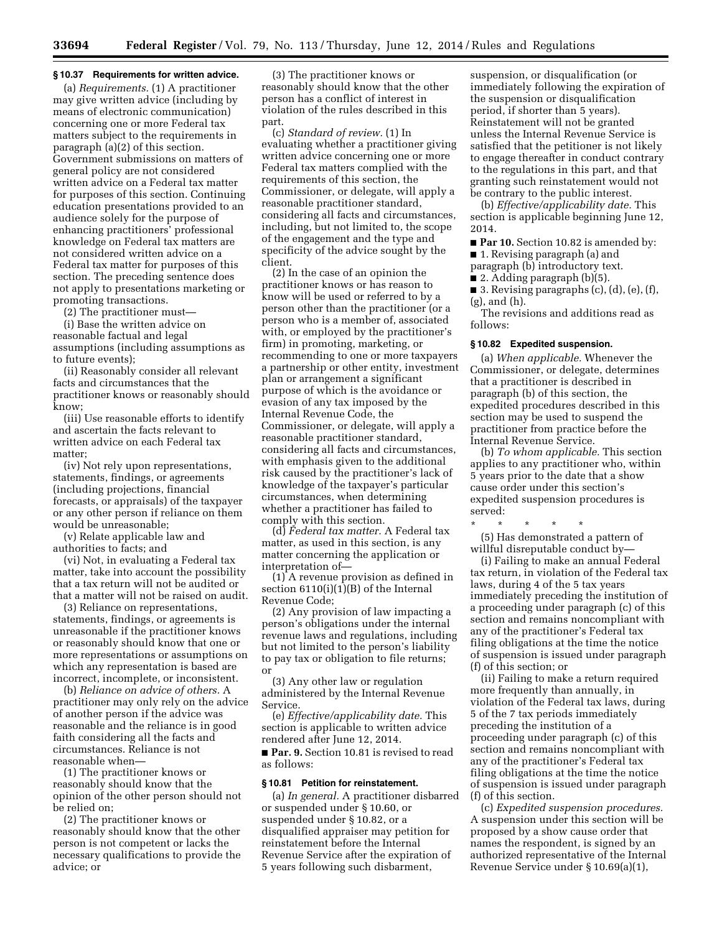#### **§ 10.37 Requirements for written advice.**

(a) *Requirements.* (1) A practitioner may give written advice (including by means of electronic communication) concerning one or more Federal tax matters subject to the requirements in paragraph (a)(2) of this section. Government submissions on matters of general policy are not considered written advice on a Federal tax matter for purposes of this section. Continuing education presentations provided to an audience solely for the purpose of enhancing practitioners' professional knowledge on Federal tax matters are not considered written advice on a Federal tax matter for purposes of this section. The preceding sentence does not apply to presentations marketing or promoting transactions.

(2) The practitioner must—

(i) Base the written advice on reasonable factual and legal assumptions (including assumptions as to future events);

(ii) Reasonably consider all relevant facts and circumstances that the practitioner knows or reasonably should know;

(iii) Use reasonable efforts to identify and ascertain the facts relevant to written advice on each Federal tax matter;

(iv) Not rely upon representations, statements, findings, or agreements (including projections, financial forecasts, or appraisals) of the taxpayer or any other person if reliance on them would be unreasonable;

(v) Relate applicable law and authorities to facts; and

(vi) Not, in evaluating a Federal tax matter, take into account the possibility that a tax return will not be audited or that a matter will not be raised on audit.

(3) Reliance on representations, statements, findings, or agreements is unreasonable if the practitioner knows or reasonably should know that one or more representations or assumptions on which any representation is based are incorrect, incomplete, or inconsistent.

(b) *Reliance on advice of others.* A practitioner may only rely on the advice of another person if the advice was reasonable and the reliance is in good faith considering all the facts and circumstances. Reliance is not reasonable when—

(1) The practitioner knows or reasonably should know that the opinion of the other person should not be relied on;

(2) The practitioner knows or reasonably should know that the other person is not competent or lacks the necessary qualifications to provide the advice; or

(3) The practitioner knows or reasonably should know that the other person has a conflict of interest in violation of the rules described in this part.

(c) *Standard of review.* (1) In evaluating whether a practitioner giving written advice concerning one or more Federal tax matters complied with the requirements of this section, the Commissioner, or delegate, will apply a reasonable practitioner standard, considering all facts and circumstances, including, but not limited to, the scope of the engagement and the type and specificity of the advice sought by the client.

(2) In the case of an opinion the practitioner knows or has reason to know will be used or referred to by a person other than the practitioner (or a person who is a member of, associated with, or employed by the practitioner's firm) in promoting, marketing, or recommending to one or more taxpayers a partnership or other entity, investment plan or arrangement a significant purpose of which is the avoidance or evasion of any tax imposed by the Internal Revenue Code, the Commissioner, or delegate, will apply a reasonable practitioner standard, considering all facts and circumstances, with emphasis given to the additional risk caused by the practitioner's lack of knowledge of the taxpayer's particular circumstances, when determining whether a practitioner has failed to comply with this section.

(d) *Federal tax matter.* A Federal tax matter, as used in this section, is any matter concerning the application or interpretation of—

(1) A revenue provision as defined in section 6110(i)(1)(B) of the Internal Revenue Code;

(2) Any provision of law impacting a person's obligations under the internal revenue laws and regulations, including but not limited to the person's liability to pay tax or obligation to file returns; or

(3) Any other law or regulation administered by the Internal Revenue Service.

(e) *Effective/applicability date.* This section is applicable to written advice rendered after June 12, 2014.

■ **Par. 9.** Section 10.81 is revised to read as follows:

#### **§ 10.81 Petition for reinstatement.**

(a) *In general.* A practitioner disbarred or suspended under § 10.60, or suspended under § 10.82, or a disqualified appraiser may petition for reinstatement before the Internal Revenue Service after the expiration of 5 years following such disbarment,

suspension, or disqualification (or immediately following the expiration of the suspension or disqualification period, if shorter than 5 years). Reinstatement will not be granted unless the Internal Revenue Service is satisfied that the petitioner is not likely to engage thereafter in conduct contrary to the regulations in this part, and that granting such reinstatement would not be contrary to the public interest.

(b) *Effective/applicability date.* This section is applicable beginning June 12, 2014.

■ **Par 10.** Section 10.82 is amended by: ■ 1. Revising paragraph (a) and

paragraph (b) introductory text.

■ 2. Adding paragraph (b)(5).

■ 3. Revising paragraphs (c), (d), (e), (f), (g), and (h).

The revisions and additions read as follows:

#### **§ 10.82 Expedited suspension.**

(a) *When applicable.* Whenever the Commissioner, or delegate, determines that a practitioner is described in paragraph (b) of this section, the expedited procedures described in this section may be used to suspend the practitioner from practice before the Internal Revenue Service.

(b) *To whom applicable.* This section applies to any practitioner who, within 5 years prior to the date that a show cause order under this section's expedited suspension procedures is served:

\* \* \* \* \*

(5) Has demonstrated a pattern of willful disreputable conduct by—

(i) Failing to make an annual Federal tax return, in violation of the Federal tax laws, during 4 of the 5 tax years immediately preceding the institution of a proceeding under paragraph (c) of this section and remains noncompliant with any of the practitioner's Federal tax filing obligations at the time the notice of suspension is issued under paragraph (f) of this section; or

(ii) Failing to make a return required more frequently than annually, in violation of the Federal tax laws, during 5 of the 7 tax periods immediately preceding the institution of a proceeding under paragraph (c) of this section and remains noncompliant with any of the practitioner's Federal tax filing obligations at the time the notice of suspension is issued under paragraph (f) of this section.

(c) *Expedited suspension procedures.*  A suspension under this section will be proposed by a show cause order that names the respondent, is signed by an authorized representative of the Internal Revenue Service under § 10.69(a)(1),